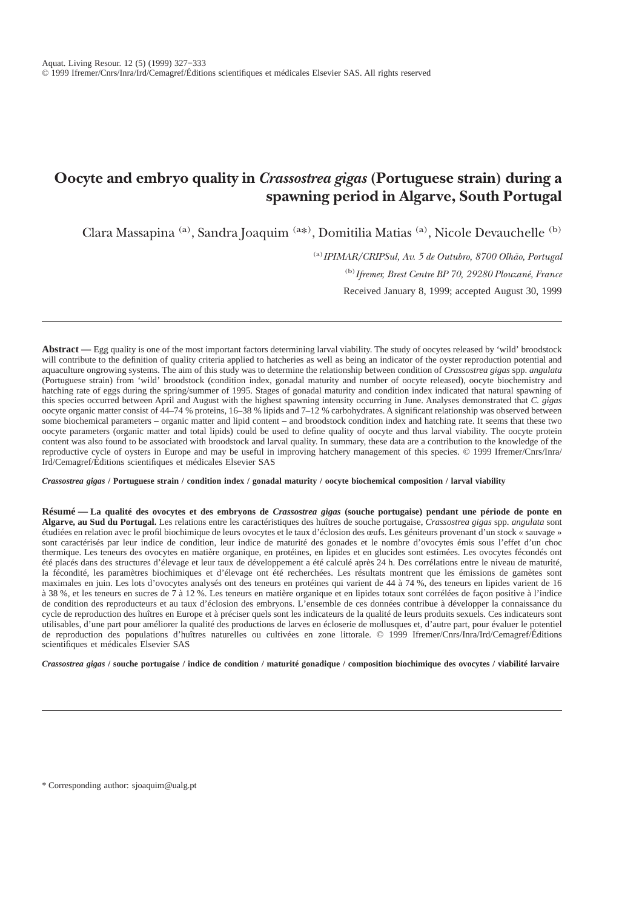# **Oocyte and embryo quality in** *Crassostrea gigas* **(Portuguese strain) during a spawning period in Algarve, South Portugal**

Clara Massapina (a), Sandra Joaquim (a\*), Domitilia Matias (a), Nicole Devauchelle (b)

(a)*IPIMAR/CRIPSul, Av. 5 de Outubro, 8700 Olhão, Portugal*

(b)*Ifremer, Brest Centre BP 70, 29280 Plouzané, France*

Received January 8, 1999; accepted August 30, 1999

**Abstract —** Egg quality is one of the most important factors determining larval viability. The study of oocytes released by 'wild' broodstock will contribute to the definition of quality criteria applied to hatcheries as well as being an indicator of the oyster reproduction potential and aquaculture ongrowing systems. The aim of this study was to determine the relationship between condition of *Crassostrea gigas* spp. *angulata* (Portuguese strain) from 'wild' broodstock (condition index, gonadal maturity and number of oocyte released), oocyte biochemistry and hatching rate of eggs during the spring/summer of 1995. Stages of gonadal maturity and condition index indicated that natural spawning of this species occurred between April and August with the highest spawning intensity occurring in June. Analyses demonstrated that *C. gigas* oocyte organic matter consist of 44–74 % proteins, 16–38 % lipids and 7–12 % carbohydrates. A significant relationship was observed between some biochemical parameters – organic matter and lipid content – and broodstock condition index and hatching rate. It seems that these two oocyte parameters (organic matter and total lipids) could be used to define quality of oocyte and thus larval viability. The oocyte protein content was also found to be associated with broodstock and larval quality. In summary, these data are a contribution to the knowledge of the reproductive cycle of oysters in Europe and may be useful in improving hatchery management of this species. © 1999 Ifremer/Cnrs/Inra/ Ird/Cemagref/Éditions scientifiques et médicales Elsevier SAS

*Crassostrea gigas* **/ Portuguese strain / condition index / gonadal maturity / oocyte biochemical composition / larval viability**

**Résumé — La qualité des ovocytes et des embryons de** *Crassostrea gigas* **(souche portugaise) pendant une période de ponte en Algarve, au Sud du Portugal.** Les relations entre les caractéristiques des huîtres de souche portugaise, *Crassostrea gigas* spp. *angulata* sont étudiées en relation avec le profil biochimique de leurs ovocytes et le taux d'éclosion des œufs. Les géniteurs provenant d'un stock « sauvage » sont caractérisés par leur indice de condition, leur indice de maturité des gonades et le nombre d'ovocytes émis sous l'effet d'un choc thermique. Les teneurs des ovocytes en matière organique, en protéines, en lipides et en glucides sont estimées. Les ovocytes fécondés ont été placés dans des structures d'élevage et leur taux de développement a été calculé après 24 h. Des corrélations entre le niveau de maturité, la fécondité, les paramètres biochimiques et d'élevage ont été recherchées. Les résultats montrent que les émissions de gamètes sont maximales en juin. Les lots d'ovocytes analysés ont des teneurs en protéines qui varient de 44 à 74 %, des teneurs en lipides varient de 16 à 38 %, et les teneurs en sucres de 7 à 12 %. Les teneurs en matière organique et en lipides totaux sont corrélées de façon positive à l'indice de condition des reproducteurs et au taux d'éclosion des embryons. L'ensemble de ces données contribue à développer la connaissance du cycle de reproduction des huîtres en Europe et à préciser quels sont les indicateurs de la qualité de leurs produits sexuels. Ces indicateurs sont utilisables, d'une part pour améliorer la qualité des productions de larves en écloserie de mollusques et, d'autre part, pour évaluer le potentiel de reproduction des populations d'huîtres naturelles ou cultivées en zone littorale. © 1999 Ifremer/Cnrs/Inra/Ird/Cemagref/Éditions scientifiques et médicales Elsevier SAS

*Crassostrea gigas* **/ souche portugaise / indice de condition / maturité gonadique / composition biochimique des ovocytes / viabilité larvaire**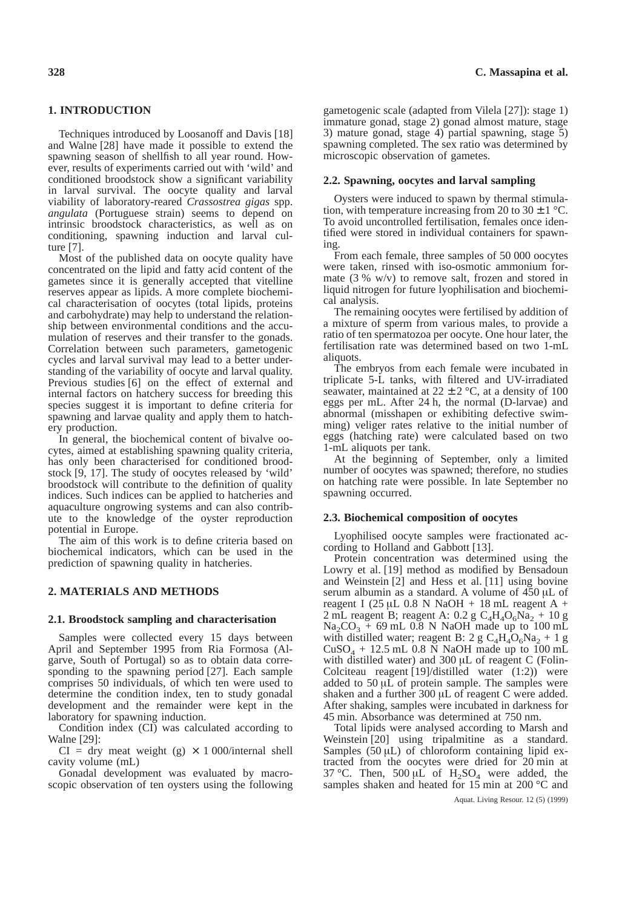# **1. INTRODUCTION**

Techniques introduced by Loosanoff and Davis [18] and Walne [28] have made it possible to extend the spawning season of shellfish to all year round. However, results of experiments carried out with 'wild' and conditioned broodstock show a significant variability in larval survival. The oocyte quality and larval viability of laboratory-reared *Crassostrea gigas* spp. *angulata* (Portuguese strain) seems to depend on intrinsic broodstock characteristics, as well as on conditioning, spawning induction and larval culture [7].

Most of the published data on oocyte quality have concentrated on the lipid and fatty acid content of the gametes since it is generally accepted that vitelline reserves appear as lipids. A more complete biochemical characterisation of oocytes (total lipids, proteins and carbohydrate) may help to understand the relationship between environmental conditions and the accumulation of reserves and their transfer to the gonads. Correlation between such parameters, gametogenic cycles and larval survival may lead to a better understanding of the variability of oocyte and larval quality. Previous studies [6] on the effect of external and internal factors on hatchery success for breeding this species suggest it is important to define criteria for spawning and larvae quality and apply them to hatchery production.

In general, the biochemical content of bivalve oocytes, aimed at establishing spawning quality criteria, has only been characterised for conditioned broodstock [9, 17]. The study of oocytes released by 'wild' broodstock will contribute to the definition of quality indices. Such indices can be applied to hatcheries and aquaculture ongrowing systems and can also contribute to the knowledge of the oyster reproduction potential in Europe.

The aim of this work is to define criteria based on biochemical indicators, which can be used in the prediction of spawning quality in hatcheries.

# **2. MATERIALS AND METHODS**

## **2.1. Broodstock sampling and characterisation**

Samples were collected every 15 days between April and September 1995 from Ria Formosa (Algarve, South of Portugal) so as to obtain data corresponding to the spawning period [27]. Each sample comprises 50 individuals, of which ten were used to determine the condition index, ten to study gonadal development and the remainder were kept in the laboratory for spawning induction.

Condition index (CI) was calculated according to Walne [29]:

 $CI = dry$  meat weight (g)  $\times$  1 000/internal shell cavity volume (mL)

Gonadal development was evaluated by macroscopic observation of ten oysters using the following gametogenic scale (adapted from Vilela [27]): stage 1) immature gonad, stage 2) gonad almost mature, stage 3) mature gonad, stage 4) partial spawning, stage 5) spawning completed. The sex ratio was determined by microscopic observation of gametes.

## **2.2. Spawning, oocytes and larval sampling**

Oysters were induced to spawn by thermal stimulation, with temperature increasing from 20 to  $30 \pm 1$  °C. To avoid uncontrolled fertilisation, females once identified were stored in individual containers for spawning.

From each female, three samples of 50 000 oocytes were taken, rinsed with iso-osmotic ammonium formate (3 % w/v) to remove salt, frozen and stored in liquid nitrogen for future lyophilisation and biochemical analysis.

The remaining oocytes were fertilised by addition of a mixture of sperm from various males, to provide a ratio of ten spermatozoa per oocyte. One hour later, the fertilisation rate was determined based on two 1-mL aliquots.

The embryos from each female were incubated in triplicate 5-L tanks, with filtered and UV-irradiated seawater, maintained at  $22 \pm 2$  °C, at a density of 100 eggs per mL. After 24 h, the normal (D-larvae) and abnormal (misshapen or exhibiting defective swimming) veliger rates relative to the initial number of eggs (hatching rate) were calculated based on two 1-mL aliquots per tank.

At the beginning of September, only a limited number of oocytes was spawned; therefore, no studies on hatching rate were possible. In late September no spawning occurred.

# **2.3. Biochemical composition of oocytes**

Lyophilised oocyte samples were fractionated according to Holland and Gabbott [13].

Protein concentration was determined using the Lowry et al. [19] method as modified by Bensadoun and Weinstein [2] and Hess et al. [11] using bovine serum albumin as a standard. A volume of 450 µL of reagent I (25 µL 0.8 N NaOH + 18 mL reagent A + 2 mL reagent B; reagent A:  $0.2$  g  $C_4H_4O_6Na_2 + 10$  g  $Na_2CO_3 + 69$  mL 0.8 N NaOH made up to 100 mL with distilled water; reagent B: 2 g  $C_4H_4O_6Na_2 + 1g$  $CuSO<sub>4</sub> + 12.5$  mL 0.8 N NaOH made up to 100 mL with distilled water) and 300 µL of reagent C (Folin-Colciteau reagent [19]/distilled water (1:2)) were added to 50 µL of protein sample. The samples were shaken and a further 300 µL of reagent C were added. After shaking, samples were incubated in darkness for 45 min. Absorbance was determined at 750 nm.

Total lipids were analysed according to Marsh and Weinstein [20] using tripalmitine as a standard. Samples  $(50 \mu L)$  of chloroform containing lipid extracted from the oocytes were dried for 20 min at 37 °C. Then, 500  $\mu L$  of H<sub>2</sub>SO<sub>4</sub> were added, the samples shaken and heated for 15 min at 200 °C and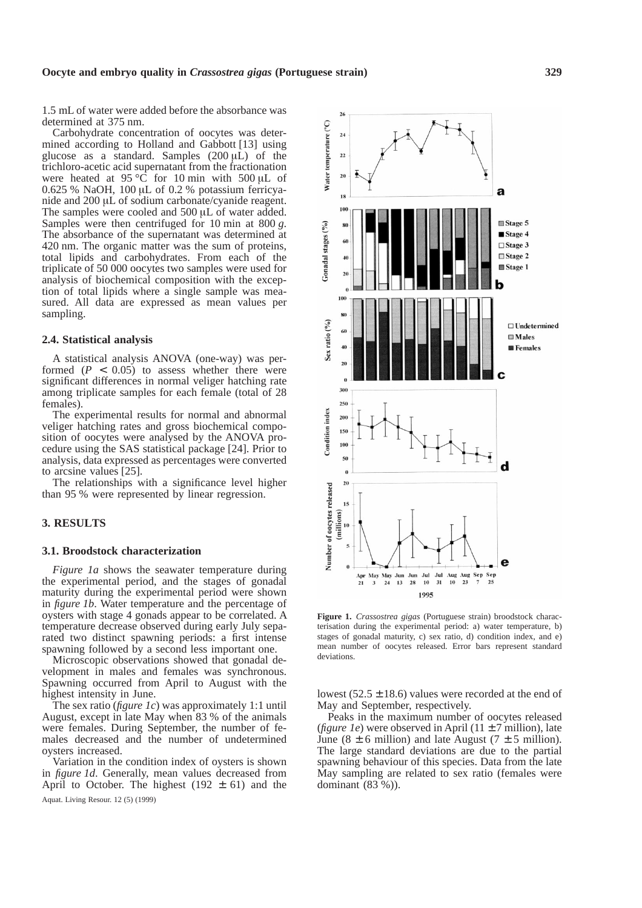1.5 mL of water were added before the absorbance was determined at 375 nm.

Carbohydrate concentration of oocytes was determined according to Holland and Gabbott [13] using glucose as a standard. Samples  $(200 \mu L)$  of the trichloro-acetic acid supernatant from the fractionation were heated at 95 °C for 10 min with 500 µL of 0.625 % NaOH, 100 µL of 0.2 % potassium ferricyanide and 200 µL of sodium carbonate/cyanide reagent. The samples were cooled and 500 µL of water added. Samples were then centrifuged for 10 min at 800 *g*. The absorbance of the supernatant was determined at 420 nm. The organic matter was the sum of proteins, total lipids and carbohydrates. From each of the triplicate of 50 000 oocytes two samples were used for analysis of biochemical composition with the exception of total lipids where a single sample was measured. All data are expressed as mean values per sampling.

#### **2.4. Statistical analysis**

A statistical analysis ANOVA (one-way) was performed  $(P < 0.05)$  to assess whether there were significant differences in normal veliger hatching rate among triplicate samples for each female (total of 28 females).

The experimental results for normal and abnormal veliger hatching rates and gross biochemical composition of oocytes were analysed by the ANOVA procedure using the SAS statistical package [24]. Prior to analysis, data expressed as percentages were converted to arcsine values [25].

The relationships with a significance level higher than 95 % were represented by linear regression.

# **3. RESULTS**

#### **3.1. Broodstock characterization**

*Figure 1a* shows the seawater temperature during the experimental period, and the stages of gonadal maturity during the experimental period were shown in *figure 1b*. Water temperature and the percentage of oysters with stage 4 gonads appear to be correlated. A temperature decrease observed during early July separated two distinct spawning periods: a first intense spawning followed by a second less important one.

Microscopic observations showed that gonadal development in males and females was synchronous. Spawning occurred from April to August with the highest intensity in June.

The sex ratio (*figure 1c*) was approximately 1:1 until August, except in late May when 83 % of the animals were females. During September, the number of females decreased and the number of undetermined oysters increased.

Variation in the condition index of oysters is shown in *figure 1d*. Generally, mean values decreased from April to October. The highest  $(192 \pm 61)$  and the  $26$ 

 $^{24}$ 



terisation during the experimental period: a) water temperature, b) stages of gonadal maturity, c) sex ratio, d) condition index, and e) mean number of oocytes released. Error bars represent standard deviations.

lowest  $(52.5 \pm 18.6)$  values were recorded at the end of May and September, respectively.

Peaks in the maximum number of oocytes released (*figure 1e*) were observed in April (11  $\pm$  7 million), late June (8  $\pm$  6 million) and late August (7  $\pm$  5 million). The large standard deviations are due to the partial spawning behaviour of this species. Data from the late May sampling are related to sex ratio (females were dominant (83 %)).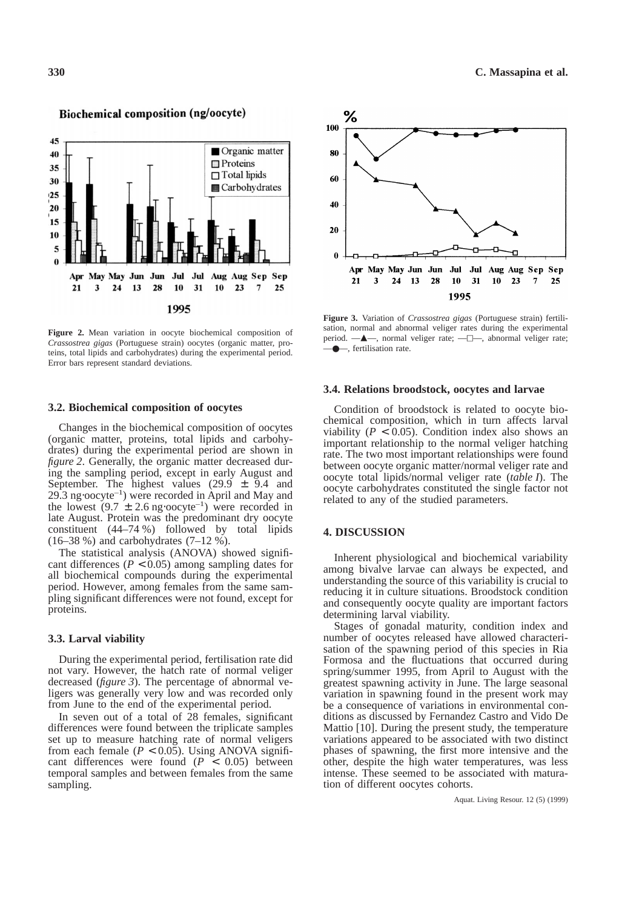

Biochemical composition (ng/oocyte)

**Figure 2.** Mean variation in oocyte biochemical composition of *Crassostrea gigas* (Portuguese strain) oocytes (organic matter, proteins, total lipids and carbohydrates) during the experimental period. Error bars represent standard deviations.

#### **3.2. Biochemical composition of oocytes**

Changes in the biochemical composition of oocytes (organic matter, proteins, total lipids and carbohydrates) during the experimental period are shown in *figure 2*. Generally, the organic matter decreased during the sampling period, except in early August and September. The highest values  $(29.9 \pm 9.4)$  and 29.3 ng⋅oocyte–1) were recorded in April and May and the lowest  $(9.7 \pm 2.6 \text{ ng oocyte}^{-1})$  were recorded in late August. Protein was the predominant dry oocyte constituent (44–74 %) followed by total lipids  $(16–38\%)$  and carbohydrates  $(7–12\%)$ .

The statistical analysis (ANOVA) showed significant differences ( $P < 0.05$ ) among sampling dates for all biochemical compounds during the experimental period. However, among females from the same sampling significant differences were not found, except for proteins.

#### **3.3. Larval viability**

During the experimental period, fertilisation rate did not vary. However, the hatch rate of normal veliger decreased (*figure 3*). The percentage of abnormal veligers was generally very low and was recorded only from June to the end of the experimental period.

In seven out of a total of 28 females, significant differences were found between the triplicate samples set up to measure hatching rate of normal veligers from each female  $(P < 0.05)$ . Using ANOVA significant differences were found (*P* < 0.05) between temporal samples and between females from the same sampling.



**Figure 3.** Variation of *Crassostrea gigas* (Portuguese strain) fertilisation, normal and abnormal veliger rates during the experimental period.  $\longrightarrow$ , normal veliger rate;  $\longrightarrow$ , abnormal veliger rate; —●—, fertilisation rate.

#### **3.4. Relations broodstock, oocytes and larvae**

Condition of broodstock is related to oocyte biochemical composition, which in turn affects larval viability ( $P < 0.05$ ). Condition index also shows an important relationship to the normal veliger hatching rate. The two most important relationships were found between oocyte organic matter/normal veliger rate and oocyte total lipids/normal veliger rate (*table I*). The oocyte carbohydrates constituted the single factor not related to any of the studied parameters.

### **4. DISCUSSION**

Inherent physiological and biochemical variability among bivalve larvae can always be expected, and understanding the source of this variability is crucial to reducing it in culture situations. Broodstock condition and consequently oocyte quality are important factors determining larval viability.

Stages of gonadal maturity, condition index and number of oocytes released have allowed characterisation of the spawning period of this species in Ria Formosa and the fluctuations that occurred during spring/summer 1995, from April to August with the greatest spawning activity in June. The large seasonal variation in spawning found in the present work may be a consequence of variations in environmental conditions as discussed by Fernandez Castro and Vido De Mattio [10]. During the present study, the temperature variations appeared to be associated with two distinct phases of spawning, the first more intensive and the other, despite the high water temperatures, was less intense. These seemed to be associated with maturation of different oocytes cohorts.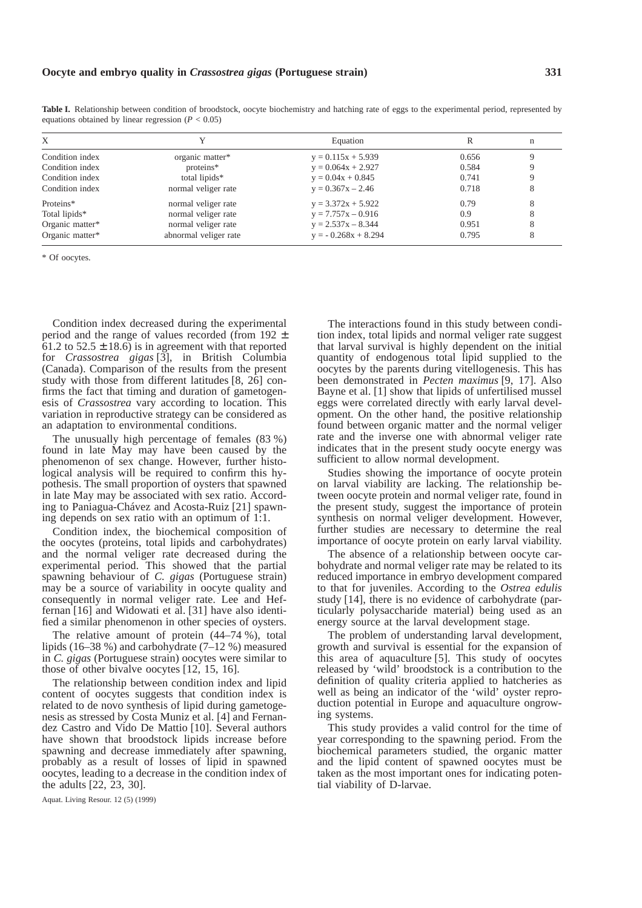| X               |                       | Equation              |       | n |
|-----------------|-----------------------|-----------------------|-------|---|
| Condition index | organic matter*       | $y = 0.115x + 5.939$  | 0.656 |   |
| Condition index | proteins*             | $y = 0.064x + 2.927$  | 0.584 |   |
| Condition index | total lipids*         | $y = 0.04x + 0.845$   | 0.741 |   |
| Condition index | normal veliger rate   | $y = 0.367x - 2.46$   | 0.718 |   |
| Proteins*       | normal veliger rate   | $y = 3.372x + 5.922$  | 0.79  |   |
| Total lipids*   | normal veliger rate   | $y = 7.757x - 0.916$  | 0.9   |   |
| Organic matter* | normal veliger rate   | $y = 2.537x - 8.344$  | 0.951 | 8 |
| Organic matter* | abnormal veliger rate | $y = -0.268x + 8.294$ | 0.795 |   |

**Table I.** Relationship between condition of broodstock, oocyte biochemistry and hatching rate of eggs to the experimental period, represented by equations obtained by linear regression  $(P < 0.05)$ 

\* Of oocytes.

Condition index decreased during the experimental period and the range of values recorded (from 192  $\pm$ 61.2 to  $52.5 \pm 18.6$ ) is in agreement with that reported for *Crassostrea gigas* [3], in British Columbia (Canada). Comparison of the results from the present study with those from different latitudes [8, 26] confirms the fact that timing and duration of gametogenesis of *Crassostrea* vary according to location. This variation in reproductive strategy can be considered as an adaptation to environmental conditions.

The unusually high percentage of females (83 %) found in late May may have been caused by the phenomenon of sex change. However, further histological analysis will be required to confirm this hypothesis. The small proportion of oysters that spawned in late May may be associated with sex ratio. According to Paniagua-Chávez and Acosta-Ruiz [21] spawning depends on sex ratio with an optimum of 1:1.

Condition index, the biochemical composition of the oocytes (proteins, total lipids and carbohydrates) and the normal veliger rate decreased during the experimental period. This showed that the partial spawning behaviour of *C. gigas* (Portuguese strain) may be a source of variability in oocyte quality and consequently in normal veliger rate. Lee and Heffernan [16] and Widowati et al. [31] have also identified a similar phenomenon in other species of oysters.

The relative amount of protein (44–74 %), total lipids (16–38 %) and carbohydrate (7–12 %) measured in *C. gigas* (Portuguese strain) oocytes were similar to those of other bivalve oocytes [12, 15, 16].

The relationship between condition index and lipid content of oocytes suggests that condition index is related to de novo synthesis of lipid during gametogenesis as stressed by Costa Muniz et al. [4] and Fernandez Castro and Vido De Mattio [10]. Several authors have shown that broodstock lipids increase before spawning and decrease immediately after spawning, probably as a result of losses of lipid in spawned oocytes, leading to a decrease in the condition index of the adults [22, 23, 30].

The interactions found in this study between condition index, total lipids and normal veliger rate suggest that larval survival is highly dependent on the initial quantity of endogenous total lipid supplied to the oocytes by the parents during vitellogenesis. This has been demonstrated in *Pecten maximus* [9, 17]. Also Bayne et al. [1] show that lipids of unfertilised mussel eggs were correlated directly with early larval development. On the other hand, the positive relationship found between organic matter and the normal veliger rate and the inverse one with abnormal veliger rate indicates that in the present study oocyte energy was sufficient to allow normal development.

Studies showing the importance of oocyte protein on larval viability are lacking. The relationship between oocyte protein and normal veliger rate, found in the present study, suggest the importance of protein synthesis on normal veliger development. However, further studies are necessary to determine the real importance of oocyte protein on early larval viability.

The absence of a relationship between oocyte carbohydrate and normal veliger rate may be related to its reduced importance in embryo development compared to that for juveniles. According to the *Ostrea edulis* study [14], there is no evidence of carbohydrate (particularly polysaccharide material) being used as an energy source at the larval development stage.

The problem of understanding larval development, growth and survival is essential for the expansion of this area of aquaculture [5]. This study of oocytes released by 'wild' broodstock is a contribution to the definition of quality criteria applied to hatcheries as well as being an indicator of the 'wild' oyster reproduction potential in Europe and aquaculture ongrowing systems.

This study provides a valid control for the time of year corresponding to the spawning period. From the biochemical parameters studied, the organic matter and the lipid content of spawned oocytes must be taken as the most important ones for indicating potential viability of D-larvae.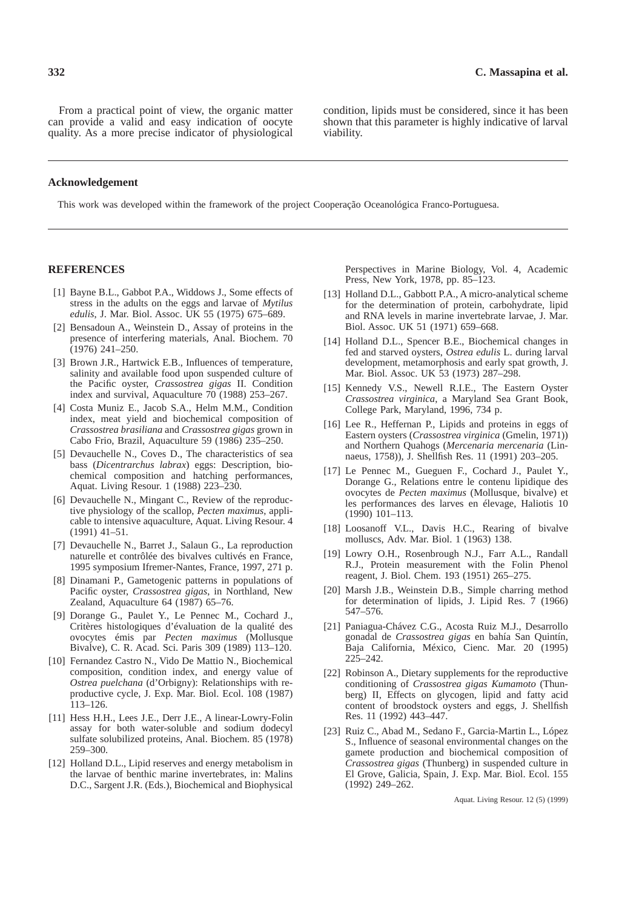From a practical point of view, the organic matter can provide a valid and easy indication of oocyte quality. As a more precise indicator of physiological condition, lipids must be considered, since it has been shown that this parameter is highly indicative of larval viability.

## **Acknowledgement**

This work was developed within the framework of the project Cooperação Oceanológica Franco-Portuguesa.

# **REFERENCES**

- [1] Bayne B.L., Gabbot P.A., Widdows J., Some effects of stress in the adults on the eggs and larvae of *Mytilus edulis*, J. Mar. Biol. Assoc. UK 55 (1975) 675–689.
- [2] Bensadoun A., Weinstein D., Assay of proteins in the presence of interfering materials, Anal. Biochem. 70 (1976) 241–250.
- [3] Brown J.R., Hartwick E.B., Influences of temperature, salinity and available food upon suspended culture of the Pacific oyster, *Crassostrea gigas* II. Condition index and survival, Aquaculture 70 (1988) 253–267.
- [4] Costa Muniz E., Jacob S.A., Helm M.M., Condition index, meat yield and biochemical composition of *Crassostrea brasiliana* and *Crassostrea gigas* grown in Cabo Frio, Brazil, Aquaculture 59 (1986) 235–250.
- [5] Devauchelle N., Coves D., The characteristics of sea bass (*Dicentrarchus labrax*) eggs: Description, biochemical composition and hatching performances, Aquat. Living Resour. 1 (1988) 223–230.
- [6] Devauchelle N., Mingant C., Review of the reproductive physiology of the scallop, *Pecten maximus*, applicable to intensive aquaculture, Aquat. Living Resour. 4 (1991) 41–51.
- [7] Devauchelle N., Barret J., Salaun G., La reproduction naturelle et contrôlée des bivalves cultivés en France, 1995 symposium Ifremer-Nantes, France, 1997, 271 p.
- [8] Dinamani P., Gametogenic patterns in populations of Pacific oyster, *Crassostrea gigas*, in Northland, New Zealand, Aquaculture 64 (1987) 65–76.
- [9] Dorange G., Paulet Y., Le Pennec M., Cochard J., Critères histologiques d'évaluation de la qualité des ovocytes émis par *Pecten maximus* (Mollusque Bivalve), C. R. Acad. Sci. Paris 309 (1989) 113–120.
- [10] Fernandez Castro N., Vido De Mattio N., Biochemical composition, condition index, and energy value of *Ostrea puelchana* (d'Orbigny): Relationships with reproductive cycle, J. Exp. Mar. Biol. Ecol. 108 (1987)  $113 - 126$ .
- [11] Hess H.H., Lees J.E., Derr J.E., A linear-Lowry-Folin assay for both water-soluble and sodium dodecyl sulfate solubilized proteins, Anal. Biochem. 85 (1978) 259–300.
- [12] Holland D.L., Lipid reserves and energy metabolism in the larvae of benthic marine invertebrates, in: Malins D.C., Sargent J.R. (Eds.), Biochemical and Biophysical

Perspectives in Marine Biology, Vol. 4, Academic Press, New York, 1978, pp. 85–123.

- [13] Holland D.L., Gabbott P.A., A micro-analytical scheme for the determination of protein, carbohydrate, lipid and RNA levels in marine invertebrate larvae, J. Mar. Biol. Assoc. UK 51 (1971) 659–668.
- [14] Holland D.L., Spencer B.E., Biochemical changes in fed and starved oysters, *Ostrea edulis* L. during larval development, metamorphosis and early spat growth, J. Mar. Biol. Assoc. UK 53 (1973) 287–298.
- [15] Kennedy V.S., Newell R.I.E., The Eastern Oyster *Crassostrea virginica*, a Maryland Sea Grant Book, College Park, Maryland, 1996, 734 p.
- [16] Lee R., Heffernan P., Lipids and proteins in eggs of Eastern oysters (*Crassostrea virginica* (Gmelin, 1971)) and Northern Quahogs (*Mercenaria mercenaria* (Linnaeus, 1758)), J. Shellfish Res. 11 (1991) 203–205.
- [17] Le Pennec M., Gueguen F., Cochard J., Paulet Y., Dorange G., Relations entre le contenu lipidique des ovocytes de *Pecten maximus* (Mollusque, bivalve) et les performances des larves en élevage, Haliotis 10 (1990) 101–113.
- [18] Loosanoff V.L., Davis H.C., Rearing of bivalve molluscs, Adv. Mar. Biol. 1 (1963) 138.
- [19] Lowry O.H., Rosenbrough N.J., Farr A.L., Randall R.J., Protein measurement with the Folin Phenol reagent, J. Biol. Chem. 193 (1951) 265–275.
- [20] Marsh J.B., Weinstein D.B., Simple charring method for determination of lipids, J. Lipid Res. 7 (1966) 547–576.
- [21] Paniagua-Chávez C.G., Acosta Ruiz M.J., Desarrollo gonadal de *Crassostrea gigas* en bahía San Quintín, Baja California, México, Cienc. Mar. 20 (1995) 225–242.
- [22] Robinson A., Dietary supplements for the reproductive conditioning of *Crassostrea gigas Kumamoto* (Thunberg) II, Effects on glycogen, lipid and fatty acid content of broodstock oysters and eggs, J. Shellfish Res. 11 (1992) 443–447.
- [23] Ruiz C., Abad M., Sedano F., Garcia-Martin L., López S., Influence of seasonal environmental changes on the gamete production and biochemical composition of *Crassostrea gigas* (Thunberg) in suspended culture in El Grove, Galicia, Spain, J. Exp. Mar. Biol. Ecol. 155 (1992) 249–262.